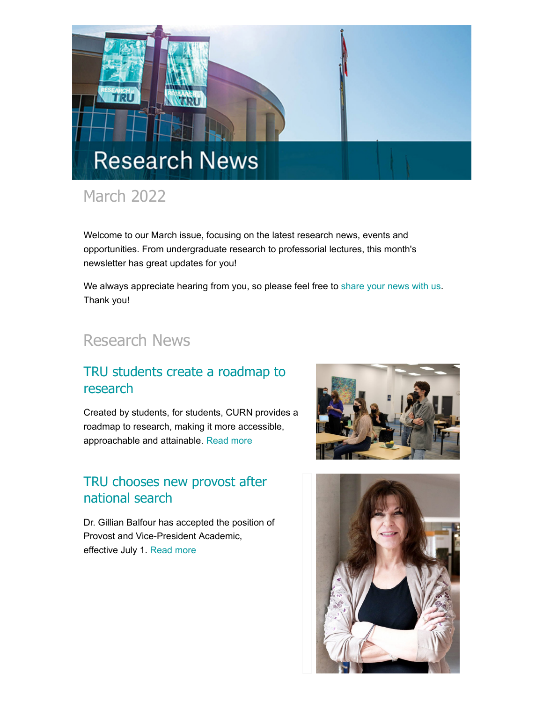

# March 2022

Welcome to our March issue, focusing on the latest research news, events and opportunities. From undergraduate research to professorial lectures, this month's newsletter has great updates for you!

We always appreciate hearing from you, so please feel free to [share your news with us](mailto:research@tru.ca). Thank you!

# Research News

#### [TRU students create a roadmap to](http://inside.tru.ca/2022/03/30/tru-students-create-a-roadmap-to-research/) research

Created by students, for students, CURN provides a roadmap to research, making it more accessible, approachable and attainable. [Read more](http://inside.tru.ca/2022/03/30/tru-students-create-a-roadmap-to-research/)

### [TRU chooses new provost after](http://inside.tru.ca/2022/03/14/tru-chooses-new-provost/) national search

Dr. Gillian Balfour has accepted the position of Provost and Vice-President Academic, effective July 1. [Read more](http://inside.tru.ca/2022/03/14/tru-chooses-new-provost/)



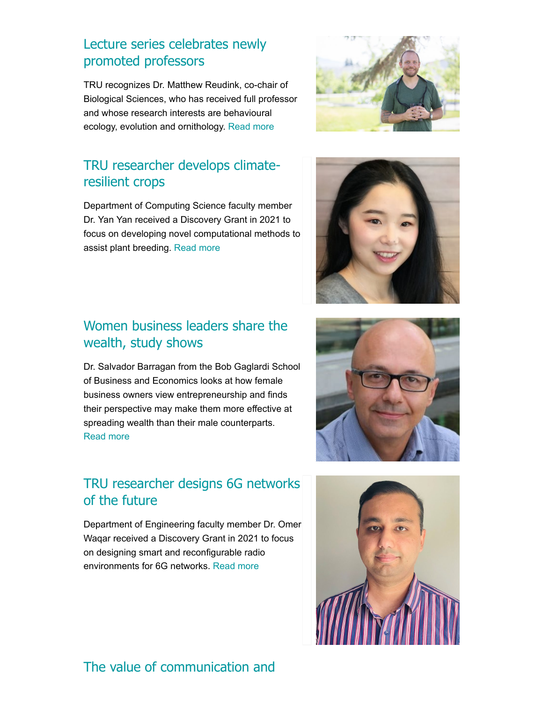### [Lecture series celebrates newly](http://inside.tru.ca/2022/03/22/lecture-series-celebrates-newly-promoted-professors/) promoted professors

TRU recognizes Dr. Matthew Reudink, co-chair of Biological Sciences, who has received full professor and whose research interests are behavioural ecology, evolution and ornithology. [Read more](http://inside.tru.ca/2022/03/22/lecture-series-celebrates-newly-promoted-professors/)

# [TRU researcher develops climate](http://inside.tru.ca/2022/03/14/tru-researcher-develops-climate-resilient-crops/)resilient crops

Department of Computing Science faculty member Dr. Yan Yan received a Discovery Grant in 2021 to focus on developing novel computational methods to assist plant breeding. [Read more](http://inside.tru.ca/2022/03/14/tru-researcher-develops-climate-resilient-crops/)

#### [Women business leaders share the](http://inside.tru.ca/2022/03/21/women-business-leaders-share-the-wealth-study-shows/) wealth, study shows

Dr. Salvador Barragan from the Bob Gaglardi School of Business and Economics looks at how female business owners view entrepreneurship and finds their perspective may make them more effective at spreading wealth than their male counterparts. [Read more](http://inside.tru.ca/2022/03/21/women-business-leaders-share-the-wealth-study-shows/)

#### [TRU researcher designs 6G networks](http://inside.tru.ca/2022/03/17/tru-researcher-designs-6g-networks-of-the-future/) of the future

Department of Engineering faculty member Dr. Omer Waqar received a Discovery Grant in 2021 to focus on designing smart and reconfigurable radio environments for 6G networks. [Read more](http://inside.tru.ca/2022/03/17/tru-researcher-designs-6g-networks-of-the-future/)

#### [The value of communication and](http://inside.tru.ca/2022/03/07/the-value-of-communication-and-social-media-in-real-estate/)







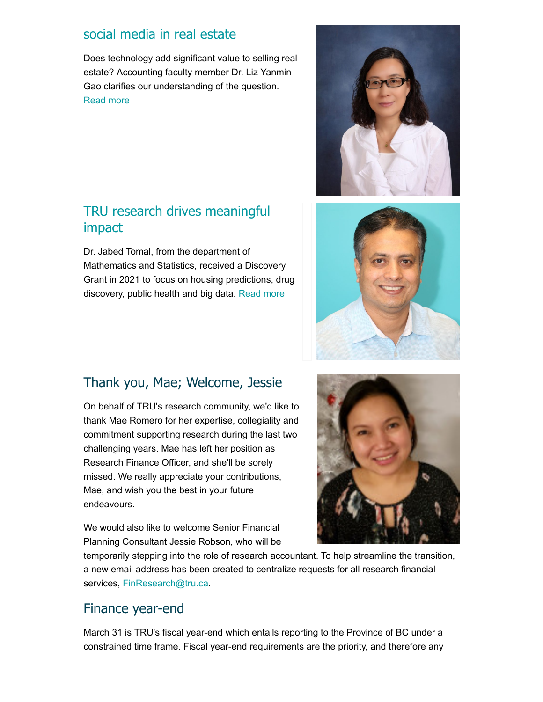#### [social media in real estate](http://inside.tru.ca/2022/03/07/the-value-of-communication-and-social-media-in-real-estate/)

Does technology add significant value to selling real estate? Accounting faculty member Dr. Liz Yanmin Gao clarifies our understanding of the question. [Read more](http://inside.tru.ca/2022/03/07/the-value-of-communication-and-social-media-in-real-estate/)

#### [TRU research drives meaningful](http://inside.tru.ca/2022/03/15/tru-research-drives-meaningful-impact/) impact

Dr. Jabed Tomal, from the department of Mathematics and Statistics, received a Discovery Grant in 2021 to focus on housing predictions, drug discovery, public health and big data. [Read more](http://inside.tru.ca/2022/03/15/tru-research-drives-meaningful-impact/)





#### Thank you, Mae; Welcome, Jessie

On behalf of TRU's research community, we'd like to thank Mae Romero for her expertise, collegiality and commitment supporting research during the last two challenging years. Mae has left her position as Research Finance Officer, and she'll be sorely missed. We really appreciate your contributions, Mae, and wish you the best in your future endeavours.

We would also like to welcome Senior Financial Planning Consultant Jessie Robson, who will be



temporarily stepping into the role of research accountant. To help streamline the transition, a new email address has been created to centralize requests for all research financial services, [FinResearch@tru.ca](mailto:FinResearch@tru.ca).

#### Finance year-end

March 31 is TRU's fiscal year-end which entails reporting to the Province of BC under a constrained time frame. Fiscal year-end requirements are the priority, and therefore any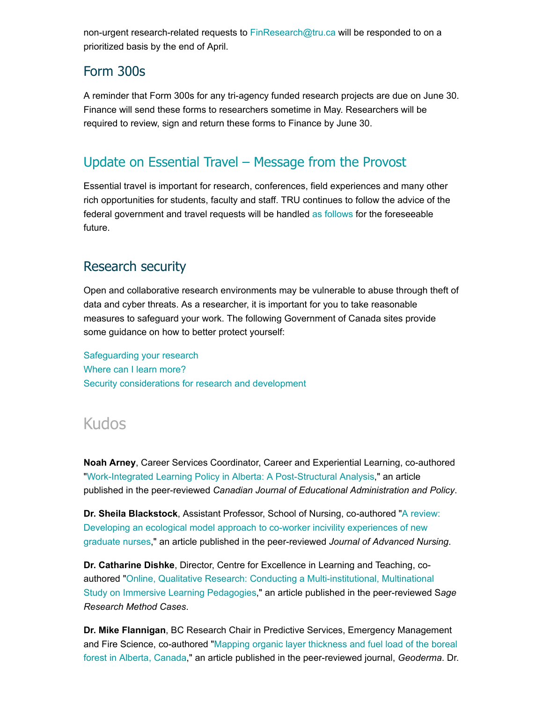non-urgent research-related requests to [FinResearch@tru.ca](mailto:FinResearch@tru.ca) will be responded to on a prioritized basis by the end of April.

#### Form 300s

A reminder that Form 300s for any tri-agency funded research projects are due on June 30. Finance will send these forms to researchers sometime in May. Researchers will be required to review, sign and return these forms to Finance by June 30.

## [Update on Essential Travel – Message from the Provost](https://bit.ly/3LkV9EI)

Essential travel is important for research, conferences, field experiences and many other rich opportunities for students, faculty and staff. TRU continues to follow the advice of the federal government and travel requests will be handled [as follows](https://bit.ly/3LkV9EI) for the foreseeable future.

#### Research security

Open and collaborative research environments may be vulnerable to abuse through theft of data and cyber threats. As a researcher, it is important for you to take reasonable measures to safeguard your work. The following Government of Canada sites provide some guidance on how to better protect yourself:

[Safeguarding your research](https://www.ic.gc.ca/eic/site/063.nsf/eng/h_97955.html) [Where can I learn more?](https://science.gc.ca/eic/site/063.nsf/eng/h_98282.html) [Security considerations for research and development](https://www.cyber.gc.ca/en/guidance/security-considerations-research-and-development-itsap00130)

# Kudos

**Noah Arney**, Career Services Coordinator, Career and Experiential Learning, co-authored "[Work-Integrated Learning Policy in Alberta: A Post-Structural Analysis](https://journalhosting.ucalgary.ca/index.php/cjeap/article/view/72460)," an article published in the peer-reviewed *Canadian Journal of Educational Administration and Policy*.

**Dr. Sheila Blackstock**, Assistant Professor, School of Nursing, co-authored "A review: [Developing an ecological model approach to co-worker incivility experiences of new](https://onlinelibrary.wiley.com/doi/10.1111/jan.15190) graduate nurses," an article published in the peer-reviewed *Journal of Advanced Nursing*.

**Dr. Catharine Dishke**, Director, Centre for Excellence in Learning and Teaching, coauthored "Online, Qualitative Research: Conducting a Multi-institutional, Multinational [Study on Immersive Learning Pedagogies," an article published in the peer-reviewed](https://methods.sagepub.com/case/online-qual-multi-institutional-multinational-immersive-learning-pedagogies) S*age Research Method Cases*.

**Dr. Mike Flannigan**, BC Research Chair in Predictive Services, Emergency Management [and Fire Science, co-authored "Mapping organic layer thickness and fuel load of the boreal](https://www.sciencedirect.com/science/article/pii/S0016706122001343) forest in Alberta, Canada," an article published in the peer-reviewed journal, *Geoderma*. Dr.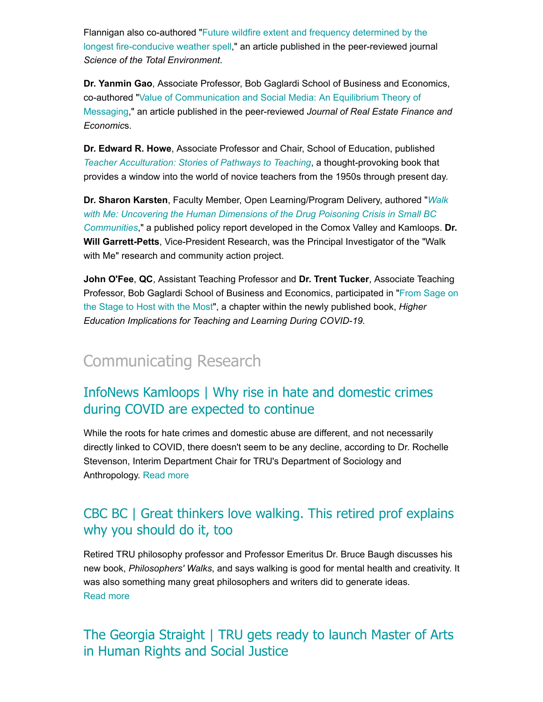Flannigan also co-authored "Future wildfire extent and frequency determined by the [longest fire-conducive weather spell," an article published in the peer-reviewed journ](https://www.sciencedirect.com/science/article/pii/S0048969722018459)al *Science of the Total Environment*.

**Dr. Yanmin Gao**, Associate Professor, Bob Gaglardi School of Business and Economics, [co-authored "Value of Communication and Social Media: An Equilibrium Theory of](https://link.springer.com/article/10.1007/s11146-021-09865-x) Messaging," an article published in the peer-reviewed *Journal of Real Estate Finance and Economic*s.

**Dr. Edward R. Howe**, Associate Professor and Chair, School of Education, published *[Teacher Acculturation: Stories of Pathways to Teaching](https://brill.com/view/title/61351?rskey=02H0u5&result=2)*, a thought-provoking book that provides a window into the world of novice teachers from the 1950s through present day.

**Dr. Sharon Karsten**, Faculty Member, Open Learning/Program Delivery, authored "*Walk [with Me: Uncovering the Human Dimensions of the Drug Poisoning Crisis in Small BC](https://www.walkwithme.ca/publications) Communities*," a published policy report developed in the Comox Valley and Kamloops. **Dr. Will Garrett-Petts**, Vice-President Research, was the Principal Investigator of the "Walk with Me" research and community action project.

**John O'Fee**, **QC**, Assistant Teaching Professor and **Dr. Trent Tucker**, Associate Teaching [Professor, Bob Gaglardi School of Business and Economics, participated in "From Sage on](https://books.google.ca/books?hl=en&lr=lang_en&id=X3BgEAAAQBAJ&oi=fnd&pg=PA117&dq=thompson+rivers+university&ots=nV5czlvMzu&sig=YEjgJkfIj3WeVGa7iQkRkVl4bB4&redir_esc=y#v=onepage&q=thompson%20rivers%20university&f=false) the Stage to Host with the Most", a chapter within the newly published book, *Higher Education Implications for Teaching and Learning During COVID-19.*

# [Communicating Research](https://inside.tru.ca/tru.ca/experts)

#### [InfoNews Kamloops | Why rise in hate and domestic crimes](http://inside.tru.ca/inthemedia/infonews-kamloops-why-rise-in-hate-and-domestic-crimes-during-covid-are-expected-to-continue/) during COVID are expected to continue

While the roots for hate crimes and domestic abuse are different, and not necessarily directly linked to COVID, there doesn't seem to be any decline, according to Dr. Rochelle Stevenson, Interim Department Chair for TRU's Department of Sociology and Anthropology. [Read more](http://inside.tru.ca/inthemedia/infonews-kamloops-why-rise-in-hate-and-domestic-crimes-during-covid-are-expected-to-continue/)

### [CBC BC | Great thinkers love walking. This retired prof explains](http://inside.tru.ca/inthemedia/cbc-bc-great-thinkers-love-walking-this-retired-prof-explains-why-you-should-do-it-too/) why you should do it, too

Retired TRU philosophy professor and Professor Emeritus Dr. Bruce Baugh discusses his new book, *Philosophers' Walks*, and says walking is good for mental health and creativity. It was also something many great philosophers and writers did to generate ideas. [Read more](http://inside.tru.ca/inthemedia/cbc-bc-great-thinkers-love-walking-this-retired-prof-explains-why-you-should-do-it-too/)

#### The Georgia Straight | [TRU gets ready to launch Master of Arts](https://www.straight.com/education/thompson-rivers-university-gets-ready-to-launch-master-of-arts-in-human-rights-and-social) in Human Rights and Social Justice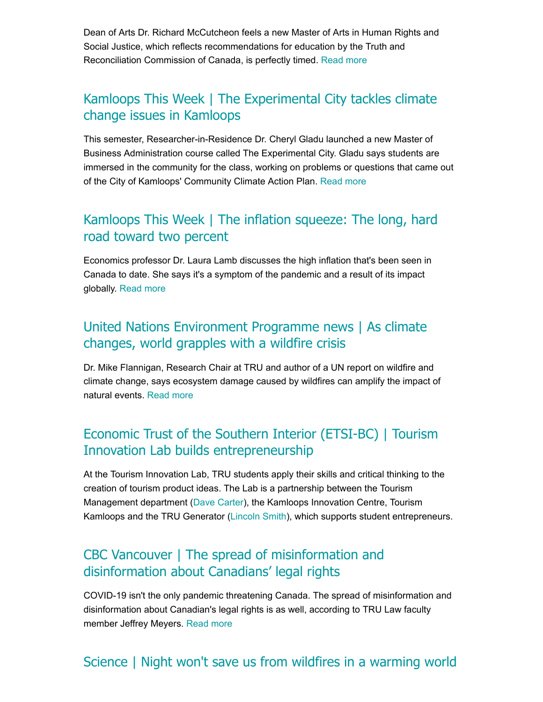Dean of Arts Dr. Richard McCutcheon feels a new Master of Arts in Human Rights and Social Justice, which reflects recommendations for education by the Truth and Reconciliation Commission of Canada, is perfectly timed. [Read more](https://www.straight.com/education/thompson-rivers-university-gets-ready-to-launch-master-of-arts-in-human-rights-and-social)

#### Kamloops This Week | [The Experimental City tackles climate](https://www.kamloopsthisweek.com/local-news/the-experimental-city-tackles-climate-change-issues-in-kamloops-5168307) change issues in Kamloops

This semester, Researcher-in-Residence Dr. Cheryl Gladu launched a new Master of Business Administration course called The Experimental City. Gladu says students are immersed in the community for the class, working on problems or questions that came out of the City of Kamloops' Community Climate Action Plan. [Read more](https://www.kamloopsthisweek.com/local-news/the-experimental-city-tackles-climate-change-issues-in-kamloops-5168307)

#### [Kamloops This Week | The inflation squeeze: The long, hard](http://inside.tru.ca/inthemedia/kamloops-this-week-the-inflation-squeeze-the-long-hard-road-toward-two-per-cent/) road toward two percent

Economics professor Dr. Laura Lamb discusses the high inflation that's been seen in Canada to date. She says it's a symptom of the pandemic and a result of its impact globally. [Read more](http://inside.tru.ca/inthemedia/kamloops-this-week-the-inflation-squeeze-the-long-hard-road-toward-two-per-cent/)

#### [United Nations Environment Programme news | As climate](http://inside.tru.ca/inthemedia/united-nations-environment-programme-news-as-climate-changes-world-grapples-with-a-wildfire-crisis/) changes, world grapples with a wildfire crisis

Dr. Mike Flannigan, Research Chair at TRU and author of a UN report on wildfire and climate change, says ecosystem damage caused by wildfires can amplify the impact of natural events. [Read more](http://inside.tru.ca/inthemedia/united-nations-environment-programme-news-as-climate-changes-world-grapples-with-a-wildfire-crisis/)

#### [Economic Trust of the Southern Interior \(ETSI-BC\) | Tourism](https://www.etsi-bc.ca/tourism-innovation-tru/) Innovation Lab builds entrepreneurship

At the Tourism Innovation Lab, TRU students apply their skills and critical thinking to the creation of tourism product ideas. The Lab is a partnership between the Tourism Management department ([Dave Carter](mailto:dcarter@tru.ca)), the Kamloops Innovation Centre, Tourism Kamloops and the TRU Generator ([Lincoln Smith](mailto:lsmith@tru.ca)), which supports student entrepreneurs.

#### [CBC Vancouver | The spread of misinformation and](http://inside.tru.ca/inthemedia/cbc-vancouver-the-spread-of-misinformation-and-disinformation-about-canadians-legal-rights/) disinformation about Canadians' legal rights

COVID-19 isn't the only pandemic threatening Canada. The spread of misinformation and disinformation about Canadian's legal rights is as well, according to TRU Law faculty member Jeffrey Meyers. [Read more](http://inside.tru.ca/inthemedia/cbc-vancouver-the-spread-of-misinformation-and-disinformation-about-canadians-legal-rights/)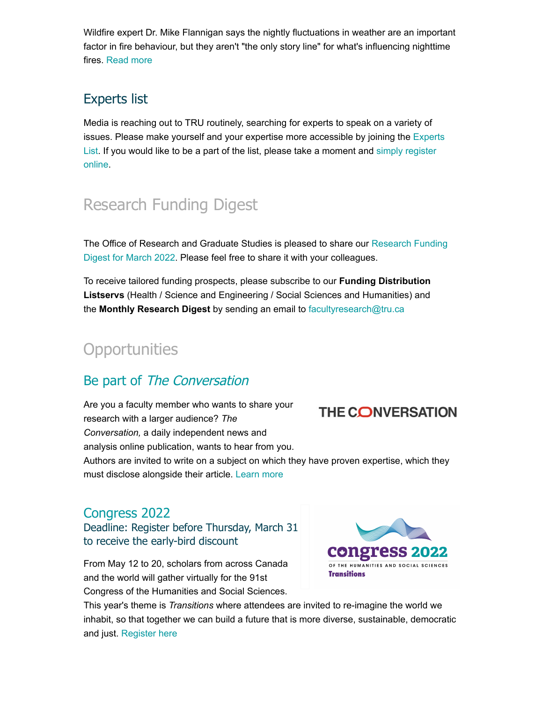Wildfire expert Dr. Mike Flannigan says the nightly fluctuations in weather are an important factor in fire behaviour, but they aren't "the only story line" for what's influencing nighttime fires. [Read more](https://www.science.org/content/article/nights-won-t-save-us-wildfires-warming-world#.Yg6B2qw5wrB.twitter)

# Experts list

Media is reaching out to TRU routinely, searching for experts to speak on a variety of [issues. Please make yourself and your expertise more accessible by joining the Experts](https://inside.tru.ca/find-an-expert/) [List. If you would like to be a part of the list, please](https://inside.tru.ca/find-an-expert/experts-registration-update/) take a moment and simply register online.

# Research Funding Digest

[The Office of Research and Graduate Studies is pleased to share our Research Funding](https://bit.ly/3NtpWRD) Digest for March 2022. Please feel free to share it with your colleagues.

To receive tailored funding prospects, please subscribe to our **Funding Distribution Listservs** (Health / Science and Engineering / Social Sciences and Humanities) and the **Monthly Research Digest** by sending an email to [facultyresearch@tru.ca](mailto:facultyresearch@tru.ca)

# **Opportunities**

## Be part of [The Conversation](https://theconversation.com/institutions/thompson-rivers-university-2586/authors)

Are you a faculty member who wants to share your **THE CONVERSATION** research with a larger audience? *The Conversation,* a daily independent news and analysis online publication, wants to hear from you. Authors are invited to write on a subject on which they have proven expertise, which they must disclose alongside their article. [Learn more](https://theconversation.com/institutions/thompson-rivers-university-2586/authors)

#### [Congress 2022](https://www.federationhss.ca/en/congress/congress-2022/register)

Deadline: Register before Thursday, March 31 to receive the early-bird discount

From May 12 to 20, scholars from across Canada and the world will gather virtually for the 91st Congress of the Humanities and Social Sciences.



This year's theme is *Transitions* where attendees are invited to re-imagine the world we inhabit, so that together we can build a future that is more diverse, sustainable, democratic and just. [Register here](https://www.federationhss.ca/en/congress/congress-2022/register)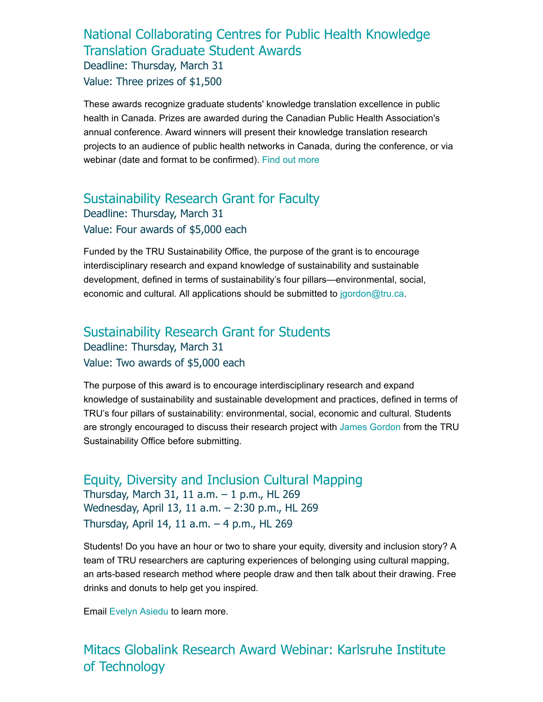#### [National Collaborating Centres for Public Health Knowledge](https://www.nccmt.ca/impact/kt-student-awards-nccph) Translation Graduate Student Awards Deadline: Thursday, March 31 Value: Three prizes of \$1,500

These awards recognize graduate students' knowledge translation excellence in public health in Canada. Prizes are awarded during the Canadian Public Health Association's annual conference. Award winners will present their knowledge translation research projects to an audience of public health networks in Canada, during the conference, or via webinar (date and format to be confirmed). [Find out more](https://www.nccmt.ca/impact/kt-student-awards-nccph)

#### [Sustainability Research Grant for Faculty](https://www.tru.ca/__shared/assets/tru-sustainability-research-grant-for-faculty46600.pdf) Deadline: Thursday, March 31 Value: Four awards of \$5,000 each

Funded by the TRU Sustainability Office, the purpose of the grant is to encourage interdisciplinary research and expand knowledge of sustainability and sustainable development, defined in terms of sustainability's four pillars—environmental, social, economic and cultural. All applications should be submitted to [jgordon@tru.ca.](mailto:jgordon@tru.ca)

#### [Sustainability Research Grant for Students](https://www.tru.ca/__shared/assets/tru-sustainability-research-grant-for-students46601.pdf) Deadline: Thursday, March 31 Value: Two awards of \$5,000 each

The purpose of this award is to encourage interdisciplinary research and expand knowledge of sustainability and sustainable development and practices, defined in terms of TRU's four pillars of sustainability: environmental, social, economic and cultural. Students are strongly encouraged to discuss their research project with [James Gordon](mailto:jgordon@tru.ca) from the TRU Sustainability Office before submitting.

[Equity, Diversity and Inclusion Cultural Mapping](https://calendly.com/map_edi_tru/march-31-student-drop-in-session?month=2022-03&back=1) Thursday, March 31, 11 a.m. – 1 p.m., HL 269 Wednesday, April 13, 11 a.m. – 2:30 p.m., HL 269 Thursday, April 14, 11 a.m. – 4 p.m., HL 269

Students! Do you have an hour or two to share your equity, diversity and inclusion story? A team of TRU researchers are capturing experiences of belonging using cultural mapping, an arts-based research method where people draw and then talk about their drawing. Free drinks and donuts to help get you inspired.

Email [Evelyn Asiedu](mailto:easiedu@tru.ca) to learn more.

#### [Mitacs Globalink Research Award Webinar: Karlsruhe Institute](https://bit.ly/3IOamwu) of Technology